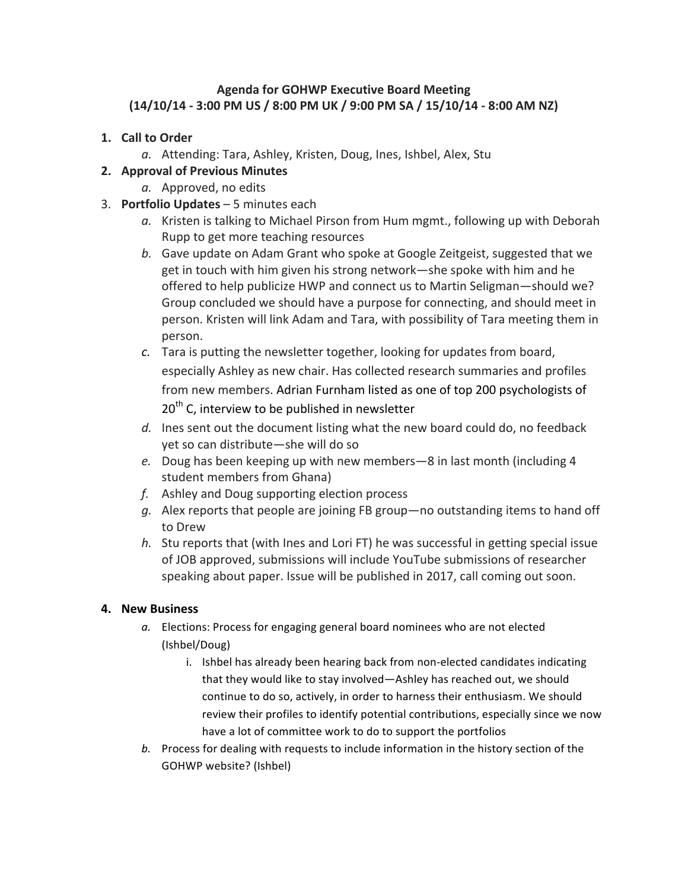## **Agenda for GOHWP Executive Board Meeting (14/10/14 - 3:00 PM US / 8:00 PM UK / 9:00 PM SA / 15/10/14 - 8:00 AM NZ)**

- 1. **Call to Order** 
	- a. Attending: Tara, Ashley, Kristen, Doug, Ines, Ishbel, Alex, Stu

## **2. Approval of Previous Minutes**

- a. Approved, no edits
- 3. **Portfolio Updates** 5 minutes each
	- a. Kristen is talking to Michael Pirson from Hum mgmt., following up with Deborah Rupp to get more teaching resources
	- b. Gave update on Adam Grant who spoke at Google Zeitgeist, suggested that we get in touch with him given his strong network—she spoke with him and he offered to help publicize HWP and connect us to Martin Seligman—should we? Group concluded we should have a purpose for connecting, and should meet in person. Kristen will link Adam and Tara, with possibility of Tara meeting them in person.
	- c. Tara is putting the newsletter together, looking for updates from board, especially Ashley as new chair. Has collected research summaries and profiles from new members. Adrian Furnham listed as one of top 200 psychologists of  $20<sup>th</sup>$  C, interview to be published in newsletter
	- *d.* Ines sent out the document listing what the new board could do, no feedback yet so can distribute—she will do so
	- *e.* Doug has been keeping up with new members—8 in last month (including 4 student members from Ghana)
	- f. Ashley and Doug supporting election process
	- g. Alex reports that people are joining FB group—no outstanding items to hand off to Drew
	- *h.* Stu reports that (with lnes and Lori FT) he was successful in getting special issue of JOB approved, submissions will include YouTube submissions of researcher speaking about paper. Issue will be published in 2017, call coming out soon.

## **4. New Business**

- a. Elections: Process for engaging general board nominees who are not elected (Ishbel/Doug)
	- i. Ishbel has already been hearing back from non-elected candidates indicating that they would like to stay involved—Ashley has reached out, we should continue to do so, actively, in order to harness their enthusiasm. We should review their profiles to identify potential contributions, especially since we now have a lot of committee work to do to support the portfolios
- *b.* Process for dealing with requests to include information in the history section of the GOHWP website? (Ishbel)